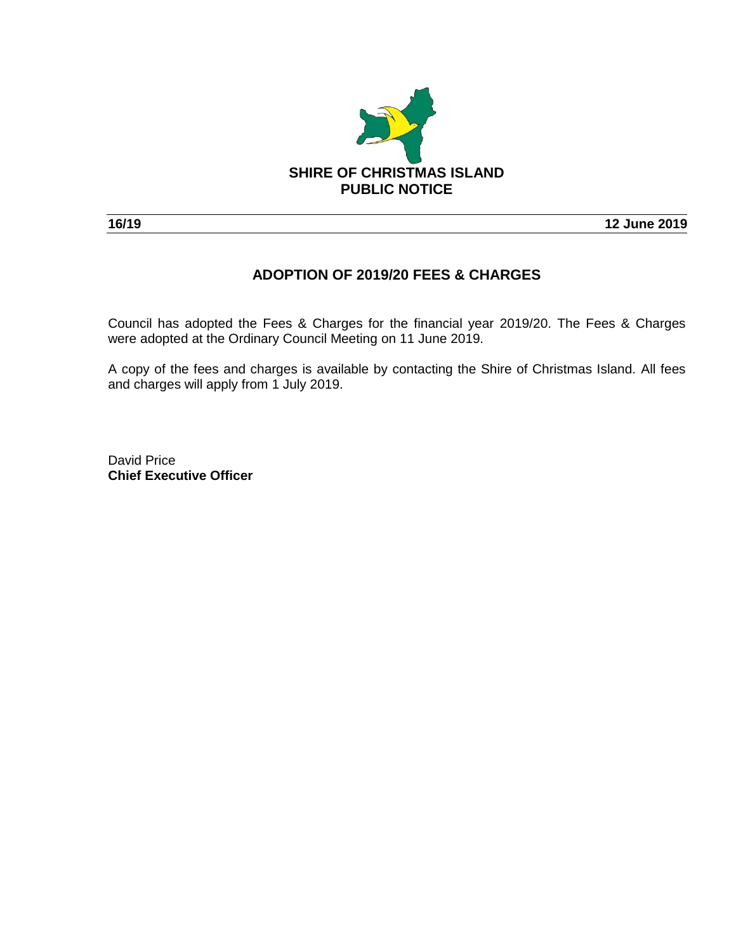

**16/19 12 June 2019**

# **ADOPTION OF 2019/20 FEES & CHARGES**

Council has adopted the Fees & Charges for the financial year 2019/20. The Fees & Charges were adopted at the Ordinary Council Meeting on 11 June 2019.

A copy of the fees and charges is available by contacting the Shire of Christmas Island. All fees and charges will apply from 1 July 2019.

David Price **Chief Executive Officer**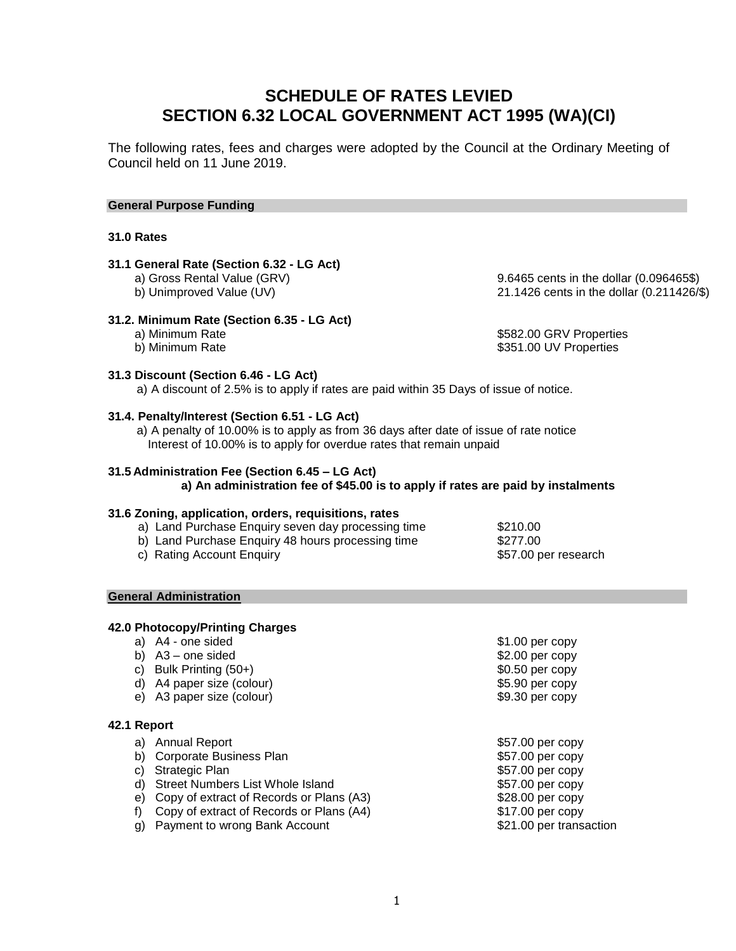# **SCHEDULE OF RATES LEVIED SECTION 6.32 LOCAL GOVERNMENT ACT 1995 (WA)(CI)**

The following rates, fees and charges were adopted by the Council at the Ordinary Meeting of Council held on 11 June 2019.

#### **General Purpose Funding**

#### **31.0 Rates**

# **31.1 General Rate (Section 6.32 - LG Act)**

#### **31.2. Minimum Rate (Section 6.35 - LG Act)**

a) Gross Rental Value (GRV) and the state of the state of the 9.6465 cents in the dollar (0.096465\$)<br>
a 9.6465 cents in the dollar (0.211426/the state of the dollar (0.211426/the state of the state of the dollar 21.1426 cents in the dollar (0.211426/\$)

a) Minimum Rate **\$582.00 GRV Properties** b) Minimum Rate  $$351.00$  UV Properties

#### **31.3 Discount (Section 6.46 - LG Act)**

a) A discount of 2.5% is to apply if rates are paid within 35 Days of issue of notice.

#### **31.4. Penalty/Interest (Section 6.51 - LG Act)**

a) A penalty of 10.00% is to apply as from 36 days after date of issue of rate notice Interest of 10.00% is to apply for overdue rates that remain unpaid

#### **31.5 Administration Fee (Section 6.45 – LG Act)**

**a) An administration fee of \$45.00 is to apply if rates are paid by instalments**

#### **31.6 Zoning, application, orders, requisitions, rates**

| b) Land Purchase Enquiry 48 hours processing time  | \$277.00 |  |
|----------------------------------------------------|----------|--|
| a) Land Purchase Enquiry seven day processing time | \$210.00 |  |

c) Rating Account Enquiry **but a strategier of the Solution Strategier Control Control Control Control Control Control Control Control Control Control Control Control Control Control Control Control Control Control Control** 

#### **General Administration**

#### **42.0 Photocopy/Printing Charges**

| a) | A4 - one sided                           | \$1.00 per copy         |
|----|------------------------------------------|-------------------------|
| b) | $A3$ – one sided                         | $$2.00$ per copy        |
| C) | Bulk Printing (50+)                      | \$0.50 per copy         |
| d) | A4 paper size (colour)                   | \$5.90 per copy         |
| e) | A3 paper size (colour)                   | $$9.30$ per copy        |
|    | 42.1 Report                              |                         |
| a) | <b>Annual Report</b>                     | \$57.00 per copy        |
| b) | Corporate Business Plan                  | \$57.00 per copy        |
| C) | Strategic Plan                           | \$57.00 per copy        |
| d) | Street Numbers List Whole Island         | \$57.00 per copy        |
| e) | Copy of extract of Records or Plans (A3) | \$28.00 per copy        |
| f) | Copy of extract of Records or Plans (A4) | \$17.00 per copy        |
| g) | Payment to wrong Bank Account            | \$21.00 per transaction |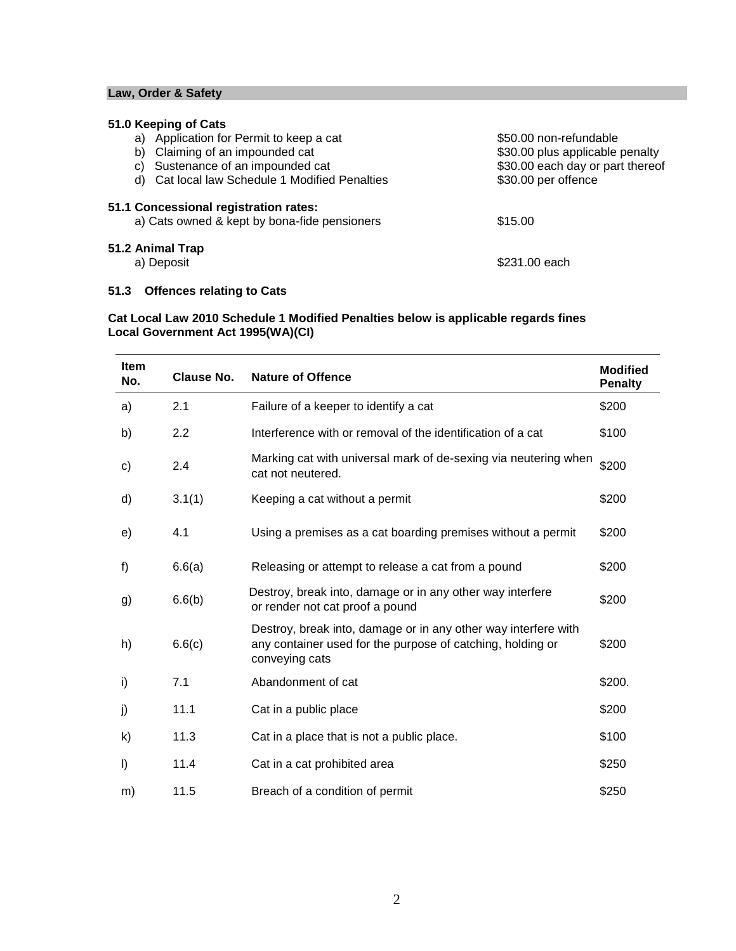### **Law, Order & Safety**

# **51.0 Keeping of Cats**

| Application for Permit to keep a cat<br>a)                                            | \$50.00 non-refundable           |
|---------------------------------------------------------------------------------------|----------------------------------|
| Claiming of an impounded cat<br>b)                                                    | \$30.00 plus applicable penalty  |
| Sustenance of an impounded cat<br>C)                                                  | \$30.00 each day or part thereof |
| d) Cat local law Schedule 1 Modified Penalties                                        | \$30.00 per offence              |
| 51.1 Concessional registration rates:<br>a) Cats owned & kept by bona-fide pensioners | \$15.00                          |
| 51.2 Animal Trap                                                                      |                                  |
| a) Deposit                                                                            | \$231.00 each                    |

# **51.3 Offences relating to Cats**

### **Cat Local Law 2010 Schedule 1 Modified Penalties below is applicable regards fines Local Government Act 1995(WA)(CI)**

| <b>Item</b><br>No. | <b>Clause No.</b> | <b>Nature of Offence</b>                                                                                                                       | <b>Modified</b><br><b>Penalty</b> |
|--------------------|-------------------|------------------------------------------------------------------------------------------------------------------------------------------------|-----------------------------------|
| a)                 | 2.1               | Failure of a keeper to identify a cat                                                                                                          | \$200                             |
| b)                 | 2.2               | Interference with or removal of the identification of a cat                                                                                    | \$100                             |
| c)                 | 2.4               | Marking cat with universal mark of de-sexing via neutering when<br>cat not neutered.                                                           | \$200                             |
| d)                 | 3.1(1)            | Keeping a cat without a permit                                                                                                                 | \$200                             |
| e)                 | 4.1               | Using a premises as a cat boarding premises without a permit                                                                                   | \$200                             |
| f)                 | 6.6(a)            | Releasing or attempt to release a cat from a pound                                                                                             | \$200                             |
| g)                 | 6.6(b)            | Destroy, break into, damage or in any other way interfere<br>or render not cat proof a pound                                                   | \$200                             |
| h)                 | 6.6(c)            | Destroy, break into, damage or in any other way interfere with<br>any container used for the purpose of catching, holding or<br>conveying cats | \$200                             |
| i)                 | 7.1               | Abandonment of cat                                                                                                                             | \$200.                            |
| j)                 | 11.1              | Cat in a public place                                                                                                                          | \$200                             |
| k)                 | 11.3              | Cat in a place that is not a public place.                                                                                                     | \$100                             |
| I)                 | 11.4              | Cat in a cat prohibited area                                                                                                                   | \$250                             |
| m)                 | 11.5              | Breach of a condition of permit                                                                                                                | \$250                             |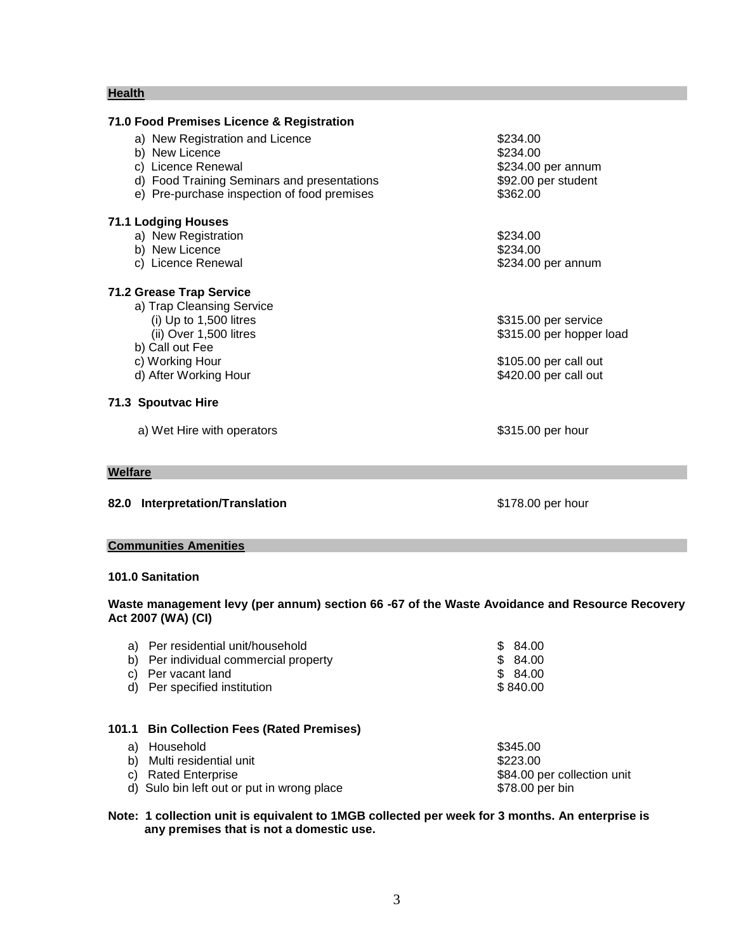#### **Health**

| a) New Registration and Licence             | \$234.00                 |
|---------------------------------------------|--------------------------|
| b) New Licence                              | \$234.00                 |
| c) Licence Renewal                          | \$234.00 per annum       |
| d) Food Training Seminars and presentations | \$92.00 per student      |
| e) Pre-purchase inspection of food premises | \$362.00                 |
| 71.1 Lodging Houses                         |                          |
| a) New Registration                         | \$234.00                 |
| b) New Licence                              | \$234.00                 |
| c) Licence Renewal                          | \$234.00 per annum       |
| 71.2 Grease Trap Service                    |                          |
| a) Trap Cleansing Service                   |                          |
| (i) Up to $1,500$ litres                    | \$315.00 per service     |
| (ii) Over 1,500 litres                      | \$315.00 per hopper load |
| b) Call out Fee                             |                          |
| c) Working Hour                             | \$105.00 per call out    |
| d) After Working Hour                       | \$420.00 per call out    |
| 71.3 Spoutvac Hire                          |                          |
| a) Wet Hire with operators                  | \$315.00 per hour        |
| Welfare                                     |                          |
|                                             |                          |
| 82.0 Interpretation/Translation             | \$178.00 per hour        |
|                                             |                          |

# **Communities Amenities**

# **101.0 Sanitation**

#### **Waste management levy (per annum) section 66 -67 of the Waste Avoidance and Resource Recovery Act 2007 (WA) (CI)**

| a) | Per residential unit/household             | 84.00<br>\$.                |
|----|--------------------------------------------|-----------------------------|
| b) | Per individual commercial property         | \$ 84.00                    |
|    | Per vacant land                            | \$ 84.00                    |
| d) | Per specified institution                  | \$840.00                    |
|    | 101.1 Bin Collection Fees (Rated Premises) |                             |
| a) | Household                                  | \$345.00                    |
| b) | Multi residential unit                     | \$223.00                    |
| C) | <b>Rated Enterprise</b>                    | \$84.00 per collection unit |
|    | d) Sulo bin left out or put in wrong place | \$78.00 per bin             |

**Note: 1 collection unit is equivalent to 1MGB collected per week for 3 months. An enterprise is any premises that is not a domestic use.**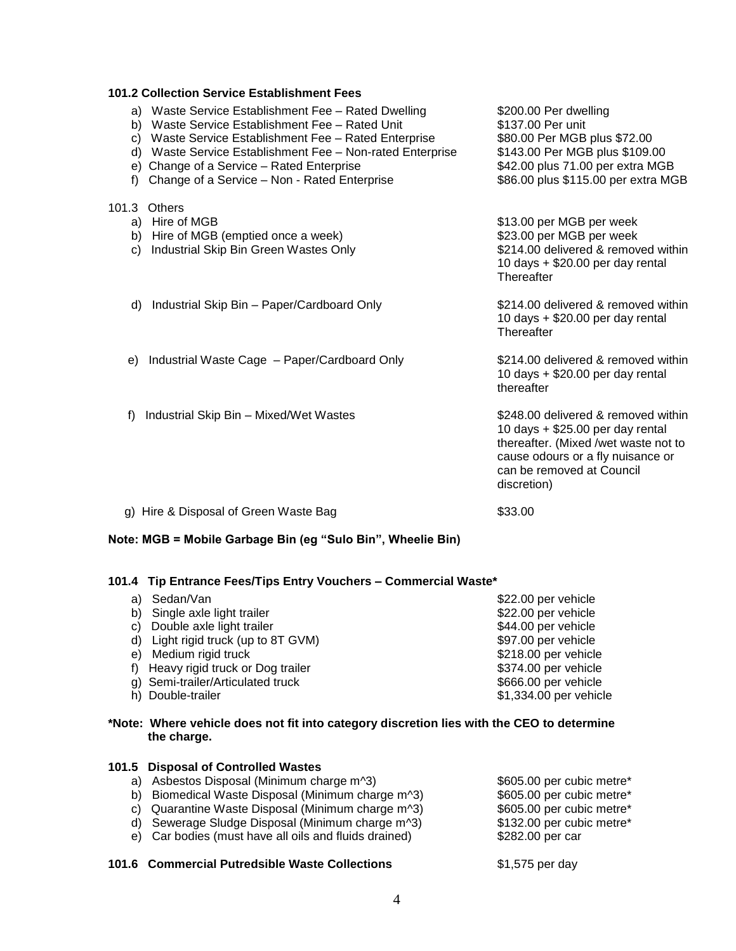| <b>101.2 Collection Service Establishment Fees</b>                                                                                                                                                                                                                                                                              |                                                                                                                                                                                                  |  |  |  |
|---------------------------------------------------------------------------------------------------------------------------------------------------------------------------------------------------------------------------------------------------------------------------------------------------------------------------------|--------------------------------------------------------------------------------------------------------------------------------------------------------------------------------------------------|--|--|--|
| a) Waste Service Establishment Fee - Rated Dwelling<br>b) Waste Service Establishment Fee - Rated Unit<br>c) Waste Service Establishment Fee - Rated Enterprise<br>d) Waste Service Establishment Fee - Non-rated Enterprise<br>e) Change of a Service - Rated Enterprise<br>Change of a Service - Non - Rated Enterprise<br>f) | \$200.00 Per dwelling<br>\$137.00 Per unit<br>\$80.00 Per MGB plus \$72.00<br>\$143.00 Per MGB plus \$109.00<br>\$42.00 plus 71.00 per extra MGB<br>\$86.00 plus \$115.00 per extra MGB          |  |  |  |
| 101.3 Others<br>a) Hire of MGB<br>b) Hire of MGB (emptied once a week)<br>Industrial Skip Bin Green Wastes Only<br>C)                                                                                                                                                                                                           | \$13.00 per MGB per week<br>\$23.00 per MGB per week<br>\$214.00 delivered & removed within<br>10 days $+$ \$20.00 per day rental<br>Thereafter                                                  |  |  |  |
| Industrial Skip Bin – Paper/Cardboard Only<br>d)                                                                                                                                                                                                                                                                                | \$214,00 delivered & removed within<br>10 days $+$ \$20.00 per day rental<br>Thereafter                                                                                                          |  |  |  |
| Industrial Waste Cage - Paper/Cardboard Only<br>e)                                                                                                                                                                                                                                                                              | \$214.00 delivered & removed within<br>10 days $+$ \$20.00 per day rental<br>thereafter                                                                                                          |  |  |  |
| Industrial Skip Bin - Mixed/Wet Wastes<br>f)                                                                                                                                                                                                                                                                                    | \$248.00 delivered & removed within<br>10 days + \$25.00 per day rental<br>thereafter. (Mixed /wet waste not to<br>cause odours or a fly nuisance or<br>can be removed at Council<br>discretion) |  |  |  |
| g) Hire & Disposal of Green Waste Bag                                                                                                                                                                                                                                                                                           | \$33.00                                                                                                                                                                                          |  |  |  |

#### **Note: MGB = Mobile Garbage Bin (eg "Sulo Bin", Wheelie Bin)**

#### **101.4 Tip Entrance Fees/Tips Entry Vouchers – Commercial Waste\***

| a) Sedan/Van                           | \$22.00 per vehicle    |
|----------------------------------------|------------------------|
| b) Single axle light trailer           | \$22.00 per vehicle    |
| c) Double axle light trailer           | \$44.00 per vehicle    |
| Light rigid truck (up to 8T GVM)<br>d) | \$97.00 per vehicle    |
| e) Medium rigid truck                  | \$218.00 per vehicle   |
| f) Heavy rigid truck or Dog trailer    | \$374.00 per vehicle   |
| g) Semi-trailer/Articulated truck      | \$666.00 per vehicle   |
| h) Double-trailer                      | \$1,334.00 per vehicle |
|                                        |                        |

### **\*Note: Where vehicle does not fit into category discretion lies with the CEO to determine the charge.**

| 101.5 Disposal of Controlled Wastes                   |                           |
|-------------------------------------------------------|---------------------------|
| a) Asbestos Disposal (Minimum charge m^3)             | \$605.00 per cubic metre* |
| b) Biomedical Waste Disposal (Minimum charge m^3)     | \$605.00 per cubic metre* |
| c) Quarantine Waste Disposal (Minimum charge m^3)     | \$605.00 per cubic metre* |
| d) Sewerage Sludge Disposal (Minimum charge m^3)      | \$132.00 per cubic metre* |
| e) Car bodies (must have all oils and fluids drained) | \$282.00 per car          |

#### **101.6 Commercial Putredsible Waste Collections** \$1,575 per day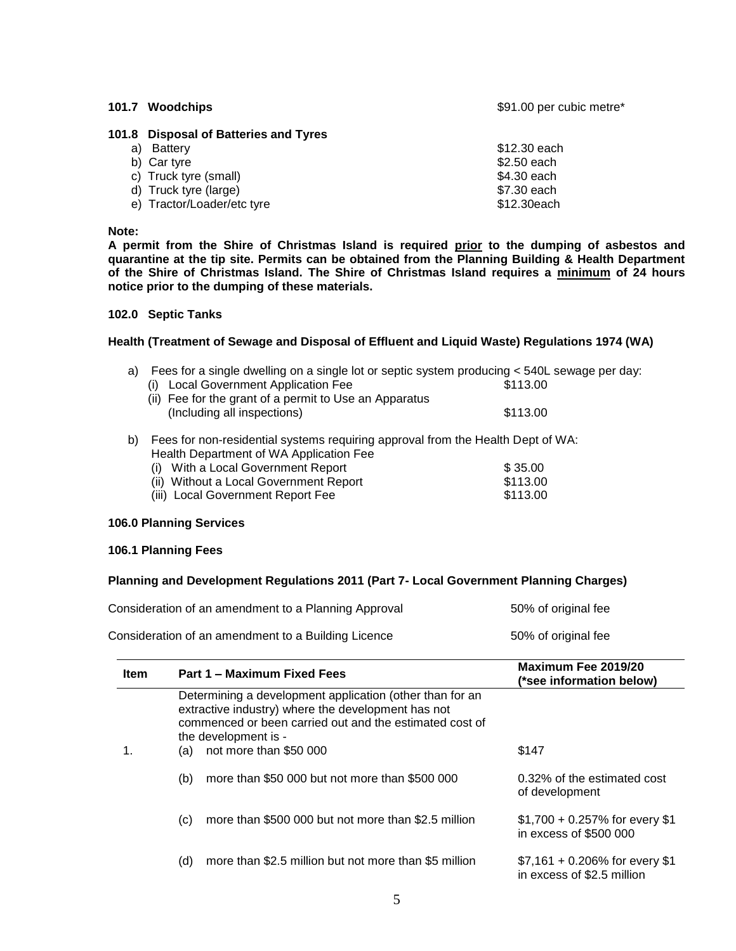**101.7 Woodchips 101.7 Woodchips 101.7 Woodchips 391.00 per cubic metre**\*

### **101.8 Disposal of Batteries and Tyres**

| a) Battery                 | \$12.30 each |
|----------------------------|--------------|
| b) Car tyre                | \$2.50 each  |
| c) Truck tyre (small)      | \$4.30 each  |
| d) Truck tyre (large)      | \$7.30 each  |
| e) Tractor/Loader/etc tyre | \$12.30each  |

#### **Note:**

**A permit from the Shire of Christmas Island is required prior to the dumping of asbestos and quarantine at the tip site. Permits can be obtained from the Planning Building & Health Department of the Shire of Christmas Island. The Shire of Christmas Island requires a minimum of 24 hours notice prior to the dumping of these materials.**

#### **102.0 Septic Tanks**

#### **Health (Treatment of Sewage and Disposal of Effluent and Liquid Waste) Regulations 1974 (WA)**

| a) Fees for a single dwelling on a single lot or septic system producing < 540L sewage per day: |  |  |  |
|-------------------------------------------------------------------------------------------------|--|--|--|
|                                                                                                 |  |  |  |

| (i) Local Government Application Fee                   | \$113.00 |
|--------------------------------------------------------|----------|
| (ii) Fee for the grant of a permit to Use an Apparatus |          |
| (Including all inspections)                            | \$113.00 |

b) Fees for non-residential systems requiring approval from the Health Dept of WA: Health Department of WA Application Fee (i) With a Local Government Report  $\frac{1}{2}$   $\frac{1}{2}$   $\frac{1}{3}$   $\frac{35}{00}$ 

| $\mu$ , where Eucal Obvolution Report  | ູນ ບບ.ບບ |
|----------------------------------------|----------|
| (ii) Without a Local Government Report | \$113.00 |
| (iii) Local Government Report Fee      | \$113.00 |

#### **106.0 Planning Services**

#### **106.1 Planning Fees**

#### **Planning and Development Regulations 2011 (Part 7- Local Government Planning Charges)**

| Consideration of an amendment to a Planning Approval | 50% of original fee |
|------------------------------------------------------|---------------------|
| Consideration of an amendment to a Building Licence  | 50% of original fee |

| <b>Item</b> | Part 1 – Maximum Fixed Fees                                                                                                                                                                       | Maximum Fee 2019/20<br>(*see information below)                |
|-------------|---------------------------------------------------------------------------------------------------------------------------------------------------------------------------------------------------|----------------------------------------------------------------|
|             | Determining a development application (other than for an<br>extractive industry) where the development has not<br>commenced or been carried out and the estimated cost of<br>the development is - |                                                                |
|             | not more than \$50 000<br>(a)                                                                                                                                                                     | \$147                                                          |
|             | more than \$50,000 but not more than \$500,000<br>(b)                                                                                                                                             | 0.32% of the estimated cost<br>of development                  |
|             | more than \$500 000 but not more than \$2.5 million<br>(c)                                                                                                                                        | $$1,700 + 0.257\%$ for every \$1<br>in excess of \$500 000     |
|             | more than \$2.5 million but not more than \$5 million<br>(d)                                                                                                                                      | $$7,161 + 0.206\%$ for every \$1<br>in excess of \$2.5 million |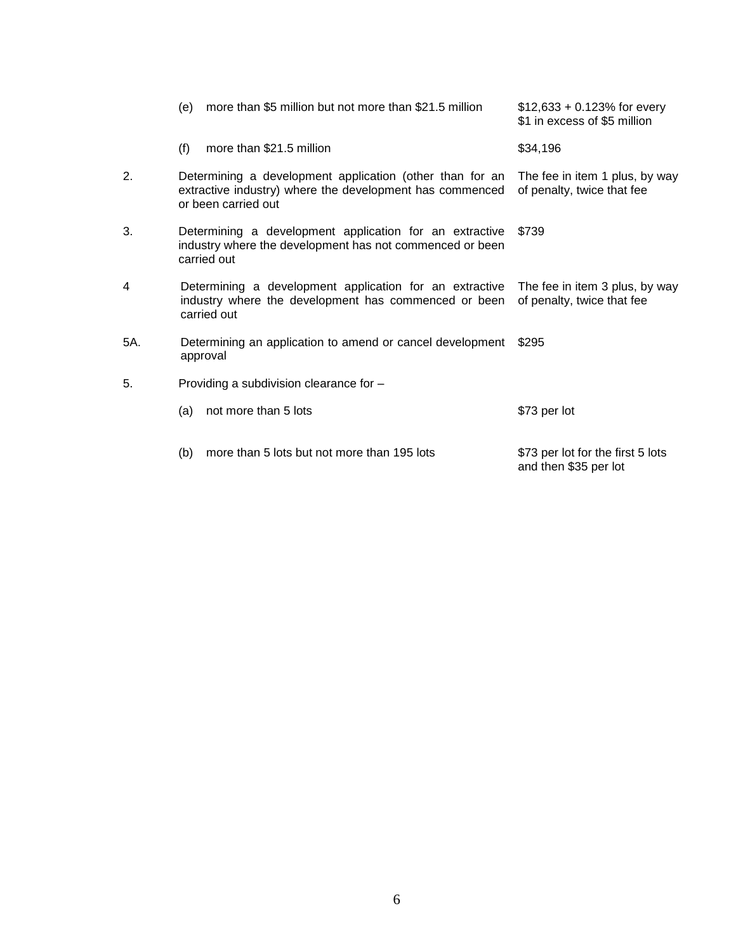|     | more than \$5 million but not more than \$21.5 million<br>(e)                                                                               | $$12,633 + 0.123\%$ for every<br>\$1 in excess of \$5 million |
|-----|---------------------------------------------------------------------------------------------------------------------------------------------|---------------------------------------------------------------|
|     | more than \$21.5 million<br>(f)                                                                                                             | \$34,196                                                      |
| 2.  | Determining a development application (other than for an<br>extractive industry) where the development has commenced<br>or been carried out | The fee in item 1 plus, by way<br>of penalty, twice that fee  |
| 3.  | Determining a development application for an extractive<br>industry where the development has not commenced or been<br>carried out          | \$739                                                         |
| 4   | Determining a development application for an extractive<br>industry where the development has commenced or been<br>carried out              | The fee in item 3 plus, by way<br>of penalty, twice that fee  |
| 5A. | Determining an application to amend or cancel development<br>approval                                                                       | \$295                                                         |
| 5.  | Providing a subdivision clearance for -                                                                                                     |                                                               |
|     | not more than 5 lots<br>(a)                                                                                                                 | \$73 per lot                                                  |
|     | more than 5 lots but not more than 195 lots<br>(b)                                                                                          | \$73 per lot for the first 5 lots<br>and then \$35 per lot    |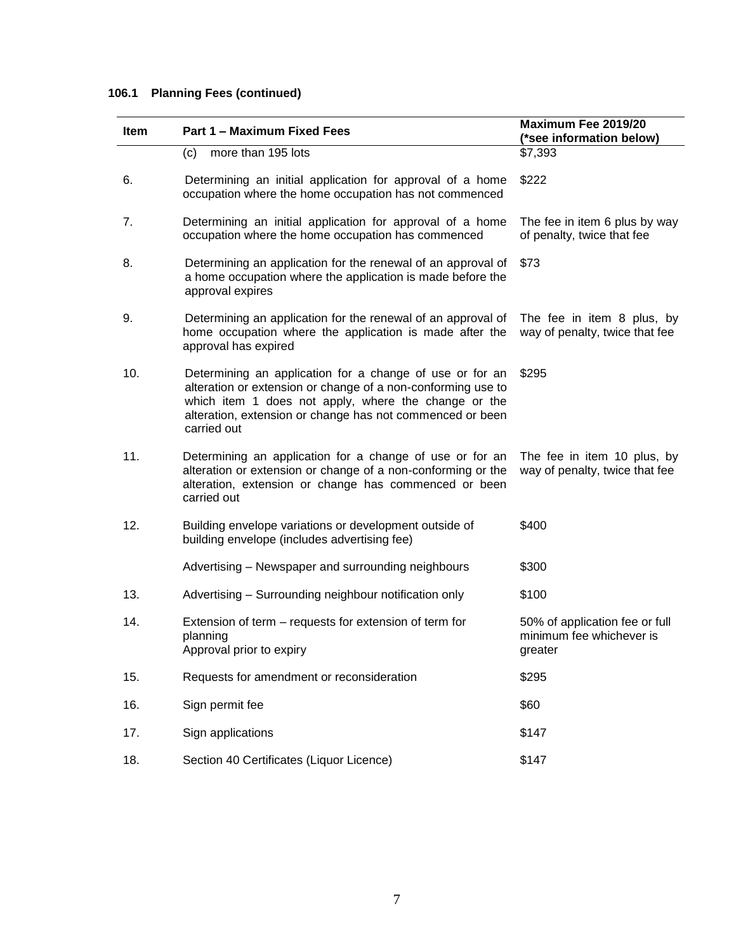# **106.1 Planning Fees (continued)**

| <b>Item</b> | Part 1 – Maximum Fixed Fees                                                                                                                                                                                                                                  | Maximum Fee 2019/20<br>(*see information below)                       |
|-------------|--------------------------------------------------------------------------------------------------------------------------------------------------------------------------------------------------------------------------------------------------------------|-----------------------------------------------------------------------|
|             | more than 195 lots<br>(c)                                                                                                                                                                                                                                    | \$7,393                                                               |
| 6.          | Determining an initial application for approval of a home<br>occupation where the home occupation has not commenced                                                                                                                                          | \$222                                                                 |
| 7.          | Determining an initial application for approval of a home<br>occupation where the home occupation has commenced                                                                                                                                              | The fee in item 6 plus by way<br>of penalty, twice that fee           |
| 8.          | Determining an application for the renewal of an approval of<br>a home occupation where the application is made before the<br>approval expires                                                                                                               | \$73                                                                  |
| 9.          | Determining an application for the renewal of an approval of<br>home occupation where the application is made after the<br>approval has expired                                                                                                              | The fee in item 8 plus, by<br>way of penalty, twice that fee          |
| 10.         | Determining an application for a change of use or for an<br>alteration or extension or change of a non-conforming use to<br>which item 1 does not apply, where the change or the<br>alteration, extension or change has not commenced or been<br>carried out | \$295                                                                 |
| 11.         | Determining an application for a change of use or for an<br>alteration or extension or change of a non-conforming or the<br>alteration, extension or change has commenced or been<br>carried out                                                             | The fee in item 10 plus, by<br>way of penalty, twice that fee         |
| 12.         | Building envelope variations or development outside of<br>building envelope (includes advertising fee)                                                                                                                                                       | \$400                                                                 |
|             | Advertising – Newspaper and surrounding neighbours                                                                                                                                                                                                           | \$300                                                                 |
| 13.         | Advertising - Surrounding neighbour notification only                                                                                                                                                                                                        | \$100                                                                 |
| 14.         | Extension of term – requests for extension of term for<br>planning<br>Approval prior to expiry                                                                                                                                                               | 50% of application fee or full<br>minimum fee whichever is<br>greater |
| 15.         | Requests for amendment or reconsideration                                                                                                                                                                                                                    | \$295                                                                 |
| 16.         | Sign permit fee                                                                                                                                                                                                                                              | \$60                                                                  |
| 17.         | Sign applications                                                                                                                                                                                                                                            | \$147                                                                 |
| 18.         | Section 40 Certificates (Liquor Licence)                                                                                                                                                                                                                     | \$147                                                                 |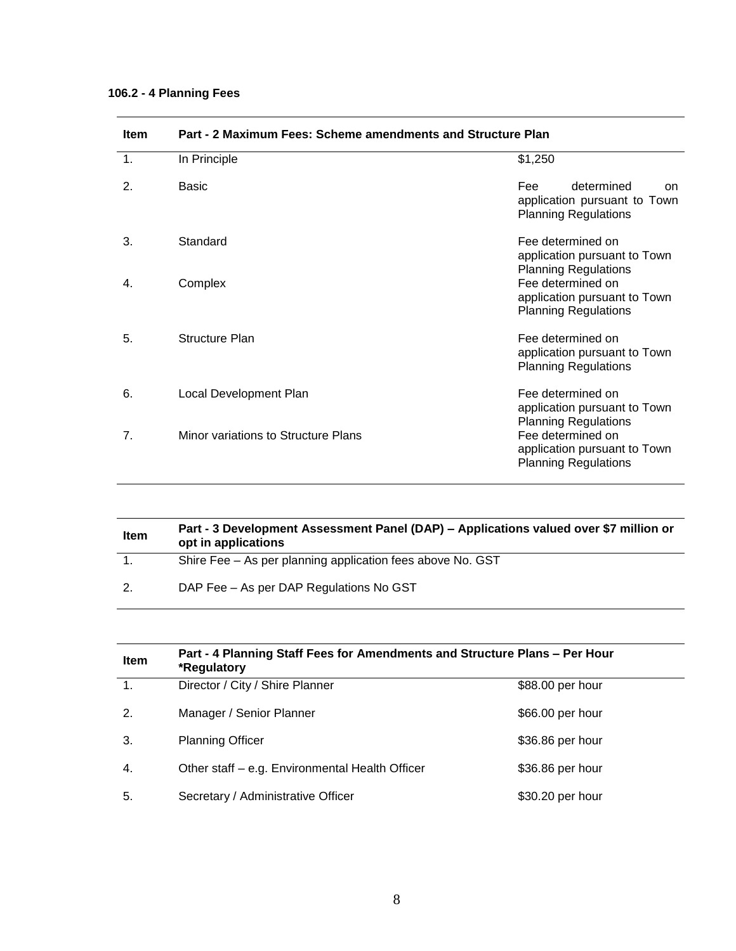# **106.2 - 4 Planning Fees**

| пенг | Part - 2 Maximum Fees. Scheme amendments and Structure Plan |                                                                                        |
|------|-------------------------------------------------------------|----------------------------------------------------------------------------------------|
| 1.   | In Principle                                                | \$1,250                                                                                |
| 2.   | Basic                                                       | determined<br>Fee<br>on<br>application pursuant to Town<br><b>Planning Regulations</b> |
| 3.   | Standard                                                    | Fee determined on<br>application pursuant to Town<br><b>Planning Regulations</b>       |
| 4.   | Complex                                                     | Fee determined on<br>application pursuant to Town<br><b>Planning Regulations</b>       |
| 5.   | Structure Plan                                              | Fee determined on<br>application pursuant to Town<br><b>Planning Regulations</b>       |
| 6.   | Local Development Plan                                      | Fee determined on<br>application pursuant to Town<br><b>Planning Regulations</b>       |
| 7.   | Minor variations to Structure Plans                         | Fee determined on<br>application pursuant to Town<br><b>Planning Regulations</b>       |

# **Item Part - 2 Maximum Fees: Scheme amendments and Structure Plan**

| <b>Item</b> | Part - 3 Development Assessment Panel (DAP) – Applications valued over \$7 million or<br>opt in applications |
|-------------|--------------------------------------------------------------------------------------------------------------|
|             | Shire Fee - As per planning application fees above No. GST                                                   |
| 2.          | DAP Fee – As per DAP Regulations No GST                                                                      |

| Item           | Part - 4 Planning Staff Fees for Amendments and Structure Plans - Per Hour<br>*Regulatory |                  |
|----------------|-------------------------------------------------------------------------------------------|------------------|
| $\mathbf{1}$ . | Director / City / Shire Planner                                                           | \$88.00 per hour |
| 2.             | Manager / Senior Planner                                                                  | \$66.00 per hour |
| 3.             | <b>Planning Officer</b>                                                                   | \$36.86 per hour |
| 4.             | Other staff – e.g. Environmental Health Officer                                           | \$36.86 per hour |
| 5.             | Secretary / Administrative Officer                                                        | \$30.20 per hour |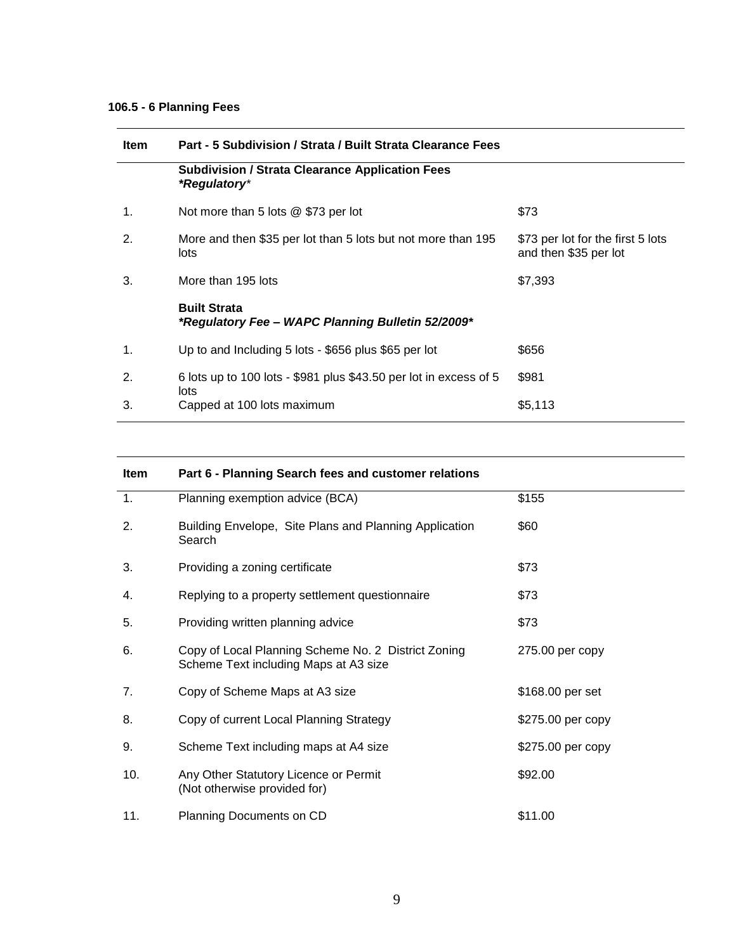# **106.5 - 6 Planning Fees**

| <b>Item</b> | Part - 5 Subdivision / Strata / Built Strata Clearance Fees              |                                                            |
|-------------|--------------------------------------------------------------------------|------------------------------------------------------------|
|             | <b>Subdivision / Strata Clearance Application Fees</b><br>*Regulatory*   |                                                            |
| 1.          | Not more than 5 lots @ \$73 per lot                                      | \$73                                                       |
| 2.          | More and then \$35 per lot than 5 lots but not more than 195<br>lots     | \$73 per lot for the first 5 lots<br>and then \$35 per lot |
| 3.          | More than 195 lots                                                       | \$7,393                                                    |
|             | <b>Built Strata</b><br>*Regulatory Fee – WAPC Planning Bulletin 52/2009* |                                                            |
| 1.          | Up to and Including 5 lots - \$656 plus \$65 per lot                     | \$656                                                      |
| 2.          | 6 lots up to 100 lots - \$981 plus \$43.50 per lot in excess of 5        | \$981                                                      |
| 3.          | lots<br>Capped at 100 lots maximum                                       | \$5,113                                                    |

| <b>Item</b>    | Part 6 - Planning Search fees and customer relations                                         |                   |  |
|----------------|----------------------------------------------------------------------------------------------|-------------------|--|
| 1.             | Planning exemption advice (BCA)                                                              | \$155             |  |
| 2.             | Building Envelope, Site Plans and Planning Application<br>Search                             | \$60              |  |
| 3.             | Providing a zoning certificate                                                               | \$73              |  |
| 4.             | Replying to a property settlement questionnaire                                              | \$73              |  |
| 5.             | Providing written planning advice                                                            | \$73              |  |
| 6.             | Copy of Local Planning Scheme No. 2 District Zoning<br>Scheme Text including Maps at A3 size | $275.00$ per copy |  |
| 7 <sub>1</sub> | Copy of Scheme Maps at A3 size                                                               | \$168.00 per set  |  |
| 8.             | Copy of current Local Planning Strategy                                                      | \$275.00 per copy |  |
| 9.             | Scheme Text including maps at A4 size                                                        | \$275.00 per copy |  |
| 10.            | Any Other Statutory Licence or Permit<br>(Not otherwise provided for)                        | \$92.00           |  |
| 11.            | Planning Documents on CD                                                                     | \$11.00           |  |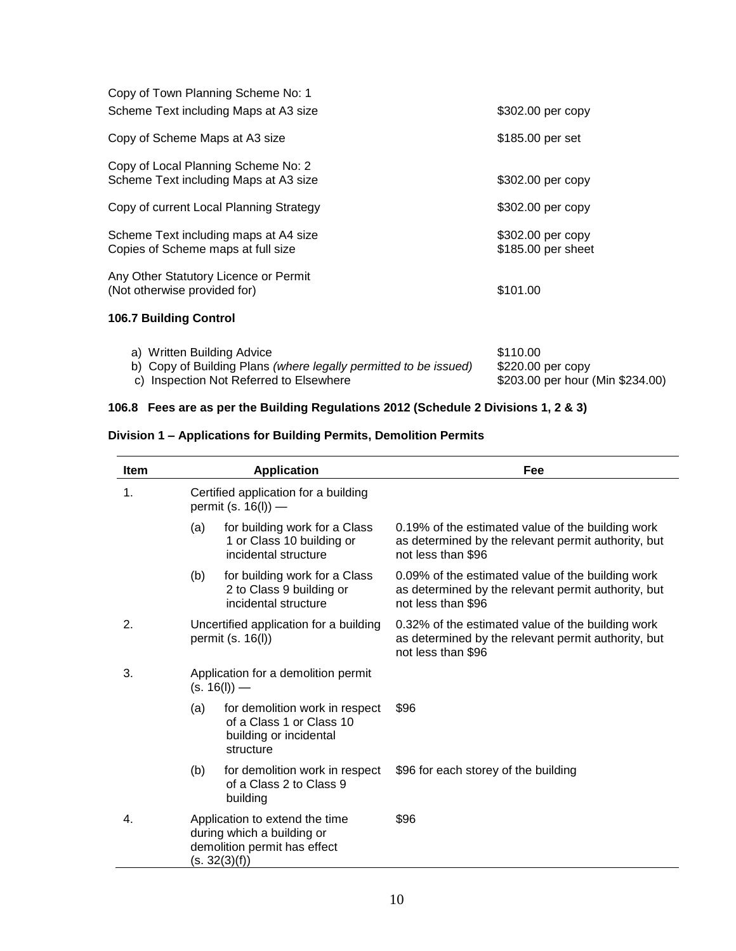| Copy of Town Planning Scheme No: 1      |                    |
|-----------------------------------------|--------------------|
| Scheme Text including Maps at A3 size   | \$302.00 per copy  |
| Copy of Scheme Maps at A3 size          | \$185.00 per set   |
| Copy of Local Planning Scheme No: 2     |                    |
| Scheme Text including Maps at A3 size   | \$302.00 per copy  |
| Copy of current Local Planning Strategy | \$302.00 per copy  |
| Scheme Text including maps at A4 size   | \$302.00 per copy  |
| Copies of Scheme maps at full size      | \$185.00 per sheet |
| Any Other Statutory Licence or Permit   |                    |
| (Not otherwise provided for)            | \$101.00           |
| <b>106.7 Building Control</b>           |                    |
|                                         |                    |

| a) Written Building Advice                                       | \$110.00                         |
|------------------------------------------------------------------|----------------------------------|
| b) Copy of Building Plans (where legally permitted to be issued) | \$220.00 per copy                |
| c) Inspection Not Referred to Elsewhere                          | \$203.00 per hour (Min \$234.00) |

# **106.8 Fees are as per the Building Regulations 2012 (Schedule 2 Divisions 1, 2 & 3)**

# **Division 1 – Applications for Building Permits, Demolition Permits**

| <b>Item</b> |                                                                                                               | <b>Application</b>                                                                                | Fee                                                                                                                            |
|-------------|---------------------------------------------------------------------------------------------------------------|---------------------------------------------------------------------------------------------------|--------------------------------------------------------------------------------------------------------------------------------|
| 1.          | Certified application for a building<br>permit (s. $16(1)$ ) —                                                |                                                                                                   |                                                                                                                                |
|             | (a)                                                                                                           | for building work for a Class<br>1 or Class 10 building or<br>incidental structure                | 0.19% of the estimated value of the building work<br>as determined by the relevant permit authority, but<br>not less than \$96 |
|             | (b)                                                                                                           | for building work for a Class<br>2 to Class 9 building or<br>incidental structure                 | 0.09% of the estimated value of the building work<br>as determined by the relevant permit authority, but<br>not less than \$96 |
| 2.          | Uncertified application for a building<br>permit (s. 16(l))                                                   |                                                                                                   | 0.32% of the estimated value of the building work<br>as determined by the relevant permit authority, but<br>not less than \$96 |
| 3.          | Application for a demolition permit<br>$(s. 16(l))$ —                                                         |                                                                                                   |                                                                                                                                |
|             | (a)                                                                                                           | for demolition work in respect<br>of a Class 1 or Class 10<br>building or incidental<br>structure | \$96                                                                                                                           |
|             | (b)                                                                                                           | for demolition work in respect<br>of a Class 2 to Class 9<br>building                             | \$96 for each storey of the building                                                                                           |
| 4.          | Application to extend the time<br>during which a building or<br>demolition permit has effect<br>(s. 32(3)(f)) |                                                                                                   | \$96                                                                                                                           |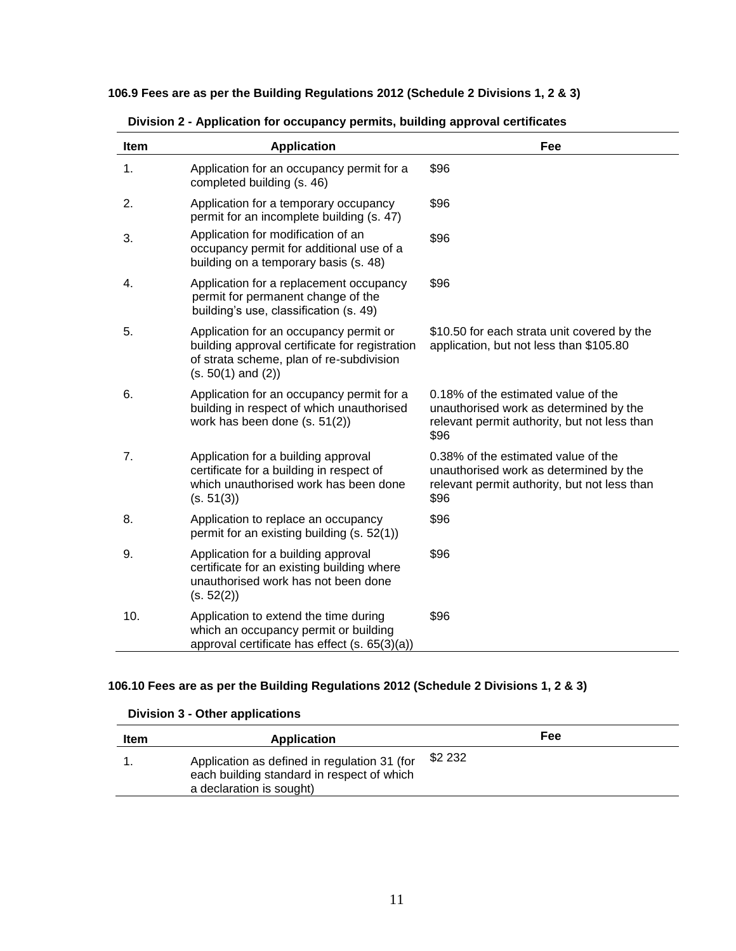**106.9 Fees are as per the Building Regulations 2012 (Schedule 2 Divisions 1, 2 & 3)**

| Item | <b>Application</b>                                                                                                                                             | Fee                                                                                                                                   |
|------|----------------------------------------------------------------------------------------------------------------------------------------------------------------|---------------------------------------------------------------------------------------------------------------------------------------|
| 1.   | Application for an occupancy permit for a<br>completed building (s. 46)                                                                                        | \$96                                                                                                                                  |
| 2.   | Application for a temporary occupancy<br>permit for an incomplete building (s. 47)                                                                             | \$96                                                                                                                                  |
| 3.   | Application for modification of an<br>occupancy permit for additional use of a<br>building on a temporary basis (s. 48)                                        | \$96                                                                                                                                  |
| 4.   | Application for a replacement occupancy<br>permit for permanent change of the<br>building's use, classification (s. 49)                                        | \$96                                                                                                                                  |
| 5.   | Application for an occupancy permit or<br>building approval certificate for registration<br>of strata scheme, plan of re-subdivision<br>$(s. 50(1)$ and $(2))$ | \$10.50 for each strata unit covered by the<br>application, but not less than \$105.80                                                |
| 6.   | Application for an occupancy permit for a<br>building in respect of which unauthorised<br>work has been done (s. 51(2))                                        | 0.18% of the estimated value of the<br>unauthorised work as determined by the<br>relevant permit authority, but not less than<br>\$96 |
| 7.   | Application for a building approval<br>certificate for a building in respect of<br>which unauthorised work has been done<br>(s. 51(3))                         | 0.38% of the estimated value of the<br>unauthorised work as determined by the<br>relevant permit authority, but not less than<br>\$96 |
| 8.   | Application to replace an occupancy<br>permit for an existing building (s. 52(1))                                                                              | \$96                                                                                                                                  |
| 9.   | Application for a building approval<br>certificate for an existing building where<br>unauthorised work has not been done<br>(s. 52(2))                         | \$96                                                                                                                                  |
| 10.  | Application to extend the time during<br>which an occupancy permit or building<br>approval certificate has effect (s. 65(3)(a))                                | \$96                                                                                                                                  |

 **Division 2 - Application for occupancy permits, building approval certificates**

# **106.10 Fees are as per the Building Regulations 2012 (Schedule 2 Divisions 1, 2 & 3)**

#### **Division 3 - Other applications**

| Item | Application                                                                                                            |         | Fee |  |
|------|------------------------------------------------------------------------------------------------------------------------|---------|-----|--|
|      | Application as defined in regulation 31 (for<br>each building standard in respect of which<br>a declaration is sought) | \$2 232 |     |  |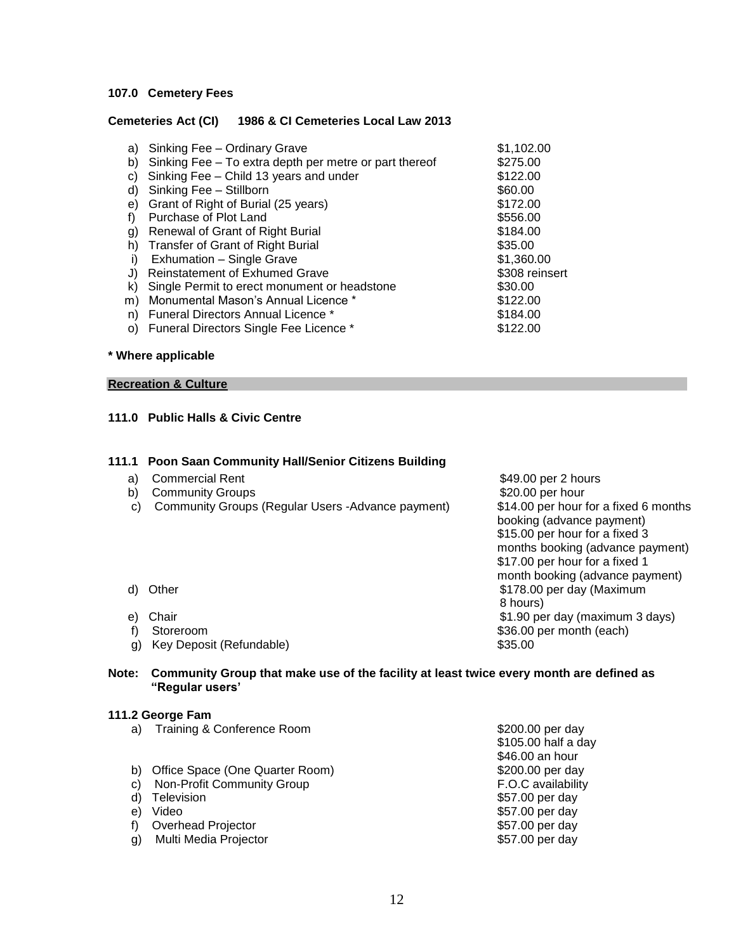#### **107.0 Cemetery Fees**

#### **Cemeteries Act (CI) 1986 & CI Cemeteries Local Law 2013**

| a)<br>b)<br>C)<br>d)<br>e)<br>g)<br>h)<br>i)<br>J)<br>k) | Sinking Fee - Ordinary Grave<br>Sinking Fee - To extra depth per metre or part thereof<br>Sinking Fee - Child 13 years and under<br>Sinking Fee - Stillborn<br>Grant of Right of Burial (25 years)<br>Purchase of Plot Land<br>Renewal of Grant of Right Burial<br><b>Transfer of Grant of Right Burial</b><br>Exhumation - Single Grave<br><b>Reinstatement of Exhumed Grave</b><br>Single Permit to erect monument or headstone | \$1,102.00<br>\$275.00<br>\$122.00<br>\$60.00<br>\$172.00<br>\$556.00<br>\$184.00<br>\$35.00<br>\$1,360.00<br>\$308 reinsert<br>\$30.00 |
|----------------------------------------------------------|-----------------------------------------------------------------------------------------------------------------------------------------------------------------------------------------------------------------------------------------------------------------------------------------------------------------------------------------------------------------------------------------------------------------------------------|-----------------------------------------------------------------------------------------------------------------------------------------|
|                                                          |                                                                                                                                                                                                                                                                                                                                                                                                                                   |                                                                                                                                         |
|                                                          |                                                                                                                                                                                                                                                                                                                                                                                                                                   |                                                                                                                                         |
| m)                                                       | Monumental Mason's Annual Licence *                                                                                                                                                                                                                                                                                                                                                                                               | \$122.00                                                                                                                                |
| n)                                                       | Funeral Directors Annual Licence *                                                                                                                                                                                                                                                                                                                                                                                                | \$184.00                                                                                                                                |
| O)                                                       | Funeral Directors Single Fee Licence *                                                                                                                                                                                                                                                                                                                                                                                            | \$122.00                                                                                                                                |

#### **\* Where applicable**

#### **Recreation & Culture**

#### **111.0 Public Halls & Civic Centre**

#### **111.1 Poon Saan Community Hall/Senior Citizens Building**

- a) Commercial Rent  $$49.00$  per 2 hours
- b) Community Groups **bigger and the Community Groups**  $\frac{1}{20}$ . See the community Groups **bigger** bour
- c) Community Groups (Regular Users -Advance payment) \$14.00 per hour for a fixed 6 months
- booking (advance payment) \$15.00 per hour for a fixed 3 months booking (advance payment) \$17.00 per hour for a fixed 1 month booking (advance payment) d) Other \$178.00 per day (Maximum) and \$178.00 per day (Maximum) and \$178.00 per day (Maximum) 8 hours) e) Chair  $$1.90 \text{ per day (maximum 3 days)}$ f) Storeroom \$36.00 per month (each)
- 
- 
- 
- g) Key Deposit (Refundable) \$35.00

**Note: Community Group that make use of the facility at least twice every month are defined as "Regular users'**

#### **111.2 George Fam**

| a) | Training & Conference Room      | \$200.00 per day    |
|----|---------------------------------|---------------------|
|    |                                 | \$105.00 half a day |
|    |                                 | \$46.00 an hour     |
|    | Office Space (One Quarter Room) | \$200.00 per day    |
| C) | Non-Profit Community Group      | F.O.C availability  |
| d) | Television                      | \$57.00 per day     |
| e) | Video                           | \$57.00 per day     |
|    | Overhead Projector              | \$57.00 per day     |
| g) | Multi Media Projector           | \$57.00 per day     |
|    |                                 |                     |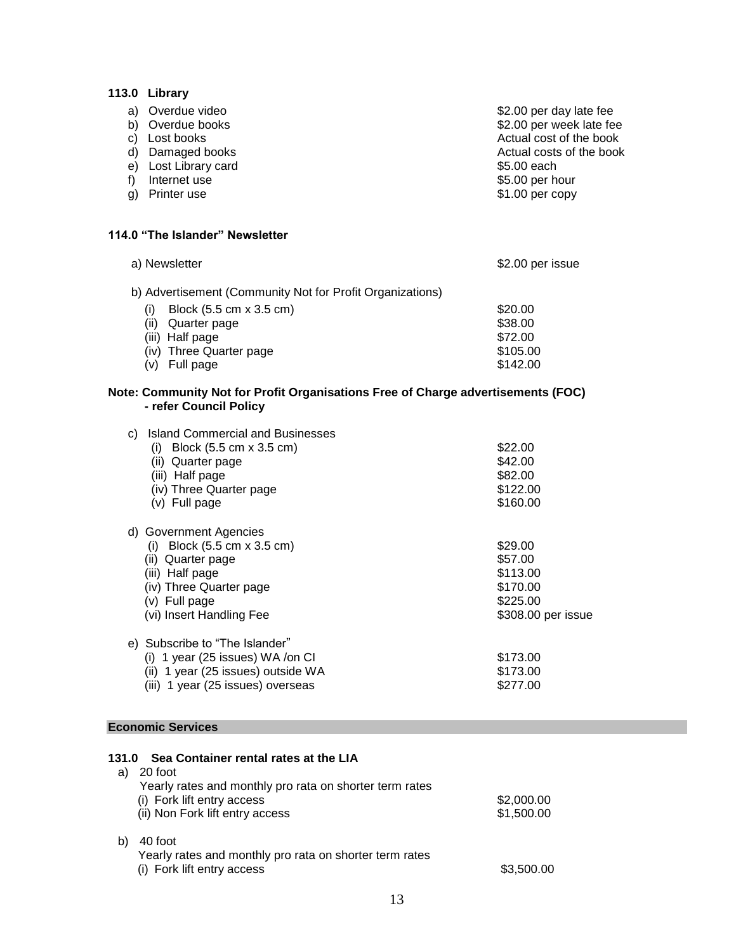## **113.0 Library**

| f) | a) Overdue video<br>b) Overdue books<br>c) Lost books<br>d) Damaged books<br>e) Lost Library card<br>Internet use<br>g) Printer use | \$2.00 per day late fee<br>\$2.00 per week late fee<br>Actual cost of the book<br>Actual costs of the book<br>\$5.00 each<br>\$5.00 per hour<br>\$1.00 per copy |
|----|-------------------------------------------------------------------------------------------------------------------------------------|-----------------------------------------------------------------------------------------------------------------------------------------------------------------|
|    | 114.0 "The Islander" Newsletter                                                                                                     |                                                                                                                                                                 |
|    | a) Newsletter                                                                                                                       | \$2.00 per issue                                                                                                                                                |
|    | b) Advertisement (Community Not for Profit Organizations)                                                                           |                                                                                                                                                                 |
|    | Block (5.5 cm x 3.5 cm)<br>(i)                                                                                                      | \$20.00                                                                                                                                                         |
|    | (ii) Quarter page                                                                                                                   | \$38.00                                                                                                                                                         |
|    | (iii) Half page                                                                                                                     | \$72.00                                                                                                                                                         |
|    | (iv) Three Quarter page                                                                                                             | \$105.00                                                                                                                                                        |
|    | (v) Full page                                                                                                                       | \$142.00                                                                                                                                                        |
|    | Note: Community Not for Profit Organisations Free of Charge advertisements (FOC)<br>- refer Council Policy                          |                                                                                                                                                                 |
|    | c) Island Commercial and Businesses                                                                                                 |                                                                                                                                                                 |
|    | (i) Block $(5.5 \text{ cm} \times 3.5 \text{ cm})$                                                                                  | \$22.00                                                                                                                                                         |
|    | (ii) Quarter page                                                                                                                   | \$42.00                                                                                                                                                         |
|    | (iii) Half page                                                                                                                     | \$82.00                                                                                                                                                         |
|    | (iv) Three Quarter page                                                                                                             | \$122.00                                                                                                                                                        |
|    | (v) Full page                                                                                                                       | \$160.00                                                                                                                                                        |
|    | d) Government Agencies                                                                                                              |                                                                                                                                                                 |
|    | (i) Block $(5.5 \text{ cm} \times 3.5 \text{ cm})$                                                                                  | \$29.00                                                                                                                                                         |
|    | (ii) Quarter page                                                                                                                   | \$57.00                                                                                                                                                         |
|    | (iii) Half page                                                                                                                     | \$113.00                                                                                                                                                        |
|    | (iv) Three Quarter page                                                                                                             | \$170.00                                                                                                                                                        |
|    | (v) Full page                                                                                                                       | \$225.00                                                                                                                                                        |
|    | (vi) Insert Handling Fee                                                                                                            | \$308.00 per issue                                                                                                                                              |
|    | e) Subscribe to "The Islander"                                                                                                      |                                                                                                                                                                 |
|    | (i) 1 year (25 issues) WA /on CI                                                                                                    | \$173.00                                                                                                                                                        |

### **Economic Services**

| <b>Sea Container rental rates at the LIA</b>                                                     |                                                                  |
|--------------------------------------------------------------------------------------------------|------------------------------------------------------------------|
| 20 foot                                                                                          |                                                                  |
| (i) Fork lift entry access<br>(ii) Non Fork lift entry access                                    | \$2,000.00<br>\$1,500.00                                         |
| 40 foot<br>Yearly rates and monthly pro rata on shorter term rates<br>(i) Fork lift entry access | \$3,500.00                                                       |
|                                                                                                  | 131.0<br>Yearly rates and monthly pro rata on shorter term rates |

 (ii) 1 year (25 issues) outside WA \$173.00 (iii) 1 year (25 issues) overseas \$277.00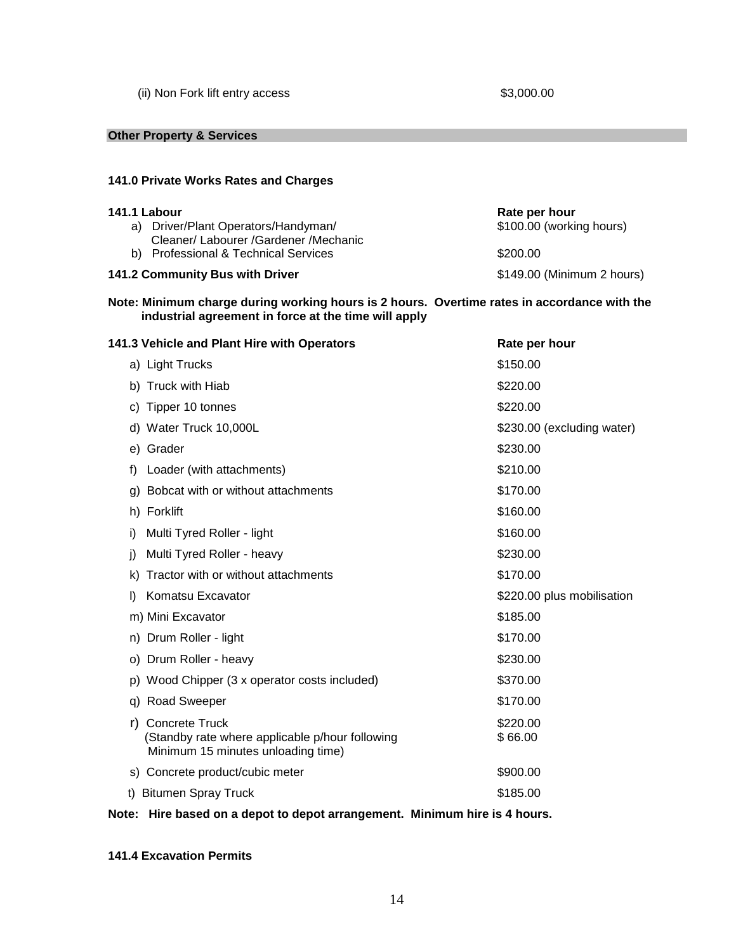(ii) Non Fork lift entry access \$3,000.00

#### **Other Property & Services**

#### **141.0 Private Works Rates and Charges**

| 141.1 Labour                         | Rate per hour              |  |
|--------------------------------------|----------------------------|--|
| a) Driver/Plant Operators/Handyman/  | \$100.00 (working hours)   |  |
| Cleaner/Labourer/Gardener/Mechanic   |                            |  |
| b) Professional & Technical Services | \$200.00                   |  |
| 141.2 Community Bus with Driver      | \$149.00 (Minimum 2 hours) |  |

### **Note: Minimum charge during working hours is 2 hours. Overtime rates in accordance with the industrial agreement in force at the time will apply**

| 141.3 Vehicle and Plant Hire with Operators                                                                          | Rate per hour              |
|----------------------------------------------------------------------------------------------------------------------|----------------------------|
| a) Light Trucks                                                                                                      | \$150.00                   |
| b) Truck with Hiab                                                                                                   | \$220.00                   |
| c) Tipper 10 tonnes                                                                                                  | \$220.00                   |
| d) Water Truck 10,000L                                                                                               | \$230.00 (excluding water) |
| e) Grader                                                                                                            | \$230.00                   |
| Loader (with attachments)<br>f)                                                                                      | \$210.00                   |
| g) Bobcat with or without attachments                                                                                | \$170.00                   |
| h) Forklift                                                                                                          | \$160.00                   |
| Multi Tyred Roller - light<br>i)                                                                                     | \$160.00                   |
| Multi Tyred Roller - heavy<br>i)                                                                                     | \$230.00                   |
| Tractor with or without attachments<br>k)                                                                            | \$170.00                   |
| Komatsu Excavator<br>I)                                                                                              | \$220.00 plus mobilisation |
| m) Mini Excavator                                                                                                    | \$185.00                   |
| n) Drum Roller - light                                                                                               | \$170.00                   |
| o) Drum Roller - heavy                                                                                               | \$230.00                   |
| p) Wood Chipper (3 x operator costs included)                                                                        | \$370.00                   |
| q) Road Sweeper                                                                                                      | \$170.00                   |
| <b>Concrete Truck</b><br>r)<br>(Standby rate where applicable p/hour following<br>Minimum 15 minutes unloading time) | \$220.00<br>\$66.00        |
| s) Concrete product/cubic meter                                                                                      | \$900.00                   |
| t) Bitumen Spray Truck                                                                                               | \$185.00                   |
|                                                                                                                      |                            |

# **Note: Hire based on a depot to depot arrangement. Minimum hire is 4 hours.**

#### **141.4 Excavation Permits**